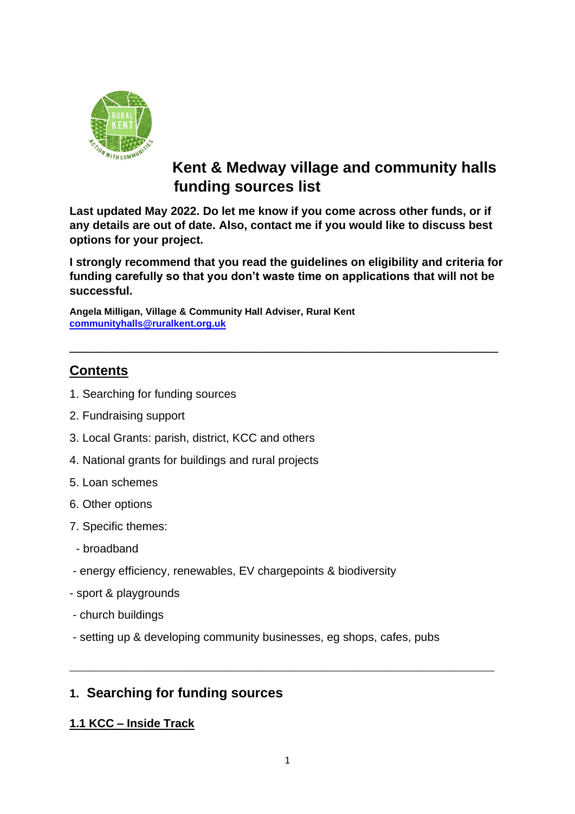

# **Kent & Medway village and community halls funding sources list**

**Last updated May 2022. Do let me know if you come across other funds, or if any details are out of date. Also, contact me if you would like to discuss best options for your project.** 

**I strongly recommend that you read the guidelines on eligibility and criteria for funding carefully so that you don't waste time on applications that will not be successful.** 

\_\_\_\_\_\_\_\_\_\_\_\_\_\_\_\_\_\_\_\_\_\_\_\_\_\_\_\_\_\_\_\_\_\_\_\_\_\_\_\_\_\_\_\_\_\_\_\_\_\_\_\_\_\_\_\_\_

**Angela Milligan, Village & Community Hall Adviser, Rural Kent [communityhalls@ruralkent.org.uk](mailto:communityhalls@ruralkent.org.uk)**

# **Contents**

- 1. Searching for funding sources
- 2. Fundraising support
- 3. Local Grants: parish, district, KCC and others
- 4. National grants for buildings and rural projects
- 5. Loan schemes
- 6. Other options
- 7. Specific themes:
- broadband
- energy efficiency, renewables, EV chargepoints & biodiversity
- sport & playgrounds
- church buildings
- setting up & developing community businesses, eg shops, cafes, pubs

# **1. Searching for funding sources**

#### **1.1 KCC – Inside Track**

\_\_\_\_\_\_\_\_\_\_\_\_\_\_\_\_\_\_\_\_\_\_\_\_\_\_\_\_\_\_\_\_\_\_\_\_\_\_\_\_\_\_\_\_\_\_\_\_\_\_\_\_\_\_\_\_\_\_\_\_\_\_\_\_\_\_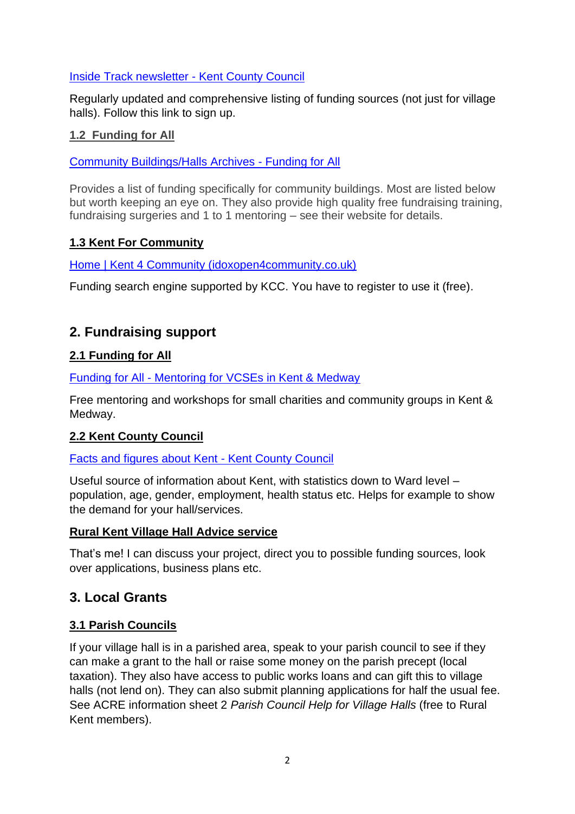#### [Inside Track newsletter -](https://www.kent.gov.uk/leisure-and-community/community-grants-and-funding/inside-track-newsletter) Kent County Council

Regularly updated and comprehensive listing of funding sources (not just for village halls). Follow this link to sign up.

#### **1.2 Funding for All**

#### [Community Buildings/Halls Archives -](https://www.fundingforall.org.uk/fund_category/community-buildings-halls/) Funding for All

Provides a list of funding specifically for community buildings. Most are listed below but worth keeping an eye on. They also provide high quality free fundraising training, fundraising surgeries and 1 to 1 mentoring – see their website for details.

#### **1.3 Kent For Community**

[Home | Kent 4 Community \(idoxopen4community.co.uk\)](https://www.idoxopen4community.co.uk/kent)

Funding search engine supported by KCC. You have to register to use it (free).

## **2. Fundraising support**

#### **2.1 Funding for All**

Funding for All - [Mentoring for VCSEs in Kent & Medway](https://www.fundingforall.org.uk/)

Free mentoring and workshops for small charities and community groups in Kent & Medway.

#### **2.2 Kent County Council**

[Facts and figures about Kent -](https://www.kent.gov.uk/about-the-council/information-and-data/facts-and-figures-about-Kent) Kent County Council

Useful source of information about Kent, with statistics down to Ward level – population, age, gender, employment, health status etc. Helps for example to show the demand for your hall/services.

#### **Rural Kent Village Hall Advice service**

That's me! I can discuss your project, direct you to possible funding sources, look over applications, business plans etc.

## **3. Local Grants**

#### **3.1 Parish Councils**

If your village hall is in a parished area, speak to your parish council to see if they can make a grant to the hall or raise some money on the parish precept (local taxation). They also have access to public works loans and can gift this to village halls (not lend on). They can also submit planning applications for half the usual fee. See ACRE information sheet 2 *Parish Council Help for Village Halls* (free to Rural Kent members).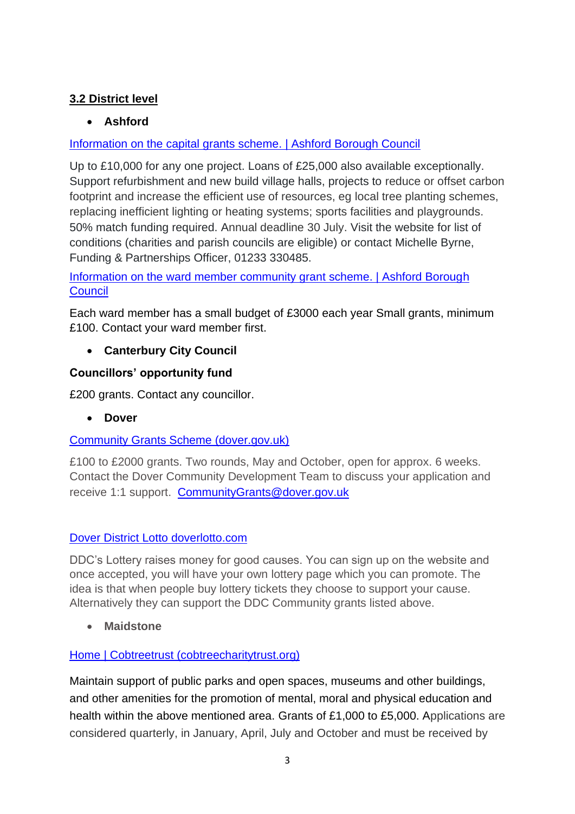## **3.2 District level**

## • **Ashford**

## [Information on the capital grants scheme. | Ashford Borough Council](https://www.ashford.gov.uk/your-community/grants-and-funding/capital-grants/)

Up to £10,000 for any one project. Loans of £25,000 also available exceptionally. Support refurbishment and new build village halls, projects to reduce or offset carbon footprint and increase the efficient use of resources, eg local tree planting schemes, replacing inefficient lighting or heating systems; sports facilities and playgrounds. 50% match funding required. Annual deadline 30 July. Visit the website for list of conditions (charities and parish councils are eligible) or contact Michelle Byrne, Funding & Partnerships Officer, 01233 330485.

[Information on the ward member community grant scheme. | Ashford Borough](https://www.ashford.gov.uk/your-community/grants-and-funding/ward-member-community-grant-scheme/)  **[Council](https://www.ashford.gov.uk/your-community/grants-and-funding/ward-member-community-grant-scheme/)** 

Each ward member has a small budget of £3000 each year Small grants, minimum £100. Contact your ward member first.

• **Canterbury City Council**

#### **Councillors' opportunity fund**

£200 grants. Contact any councillor.

• **Dover**

## [Community Grants Scheme \(dover.gov.uk\)](https://www.dover.gov.uk/Community/Grants-Funding/Community-Grants-Scheme/DDC-Community-Grants.aspx)

£100 to £2000 grants. Two rounds, May and October, open for approx. 6 weeks. Contact the Dover Community Development Team to discuss your application and receive 1:1 support. [CommunityGrants@dover.gov.uk](mailto:communitygrants@dover.gov.uk)

#### [Dover District Lotto doverlotto.com](https://www.doverlotto.com/good-causes)

DDC's Lottery raises money for good causes. You can sign up on the website and once accepted, you will have your own lottery page which you can promote. The idea is that when people buy lottery tickets they choose to support your cause. Alternatively they can support the DDC Community grants listed above.

• **Maidstone**

#### [Home | Cobtreetrust \(cobtreecharitytrust.org\)](https://www.cobtreecharitytrust.org/)

Maintain support of public parks and open spaces, museums and other buildings, and other amenities for the promotion of mental, moral and physical education and health within the above mentioned area. Grants of £1,000 to £5,000. Applications are considered quarterly, in January, April, July and October and must be received by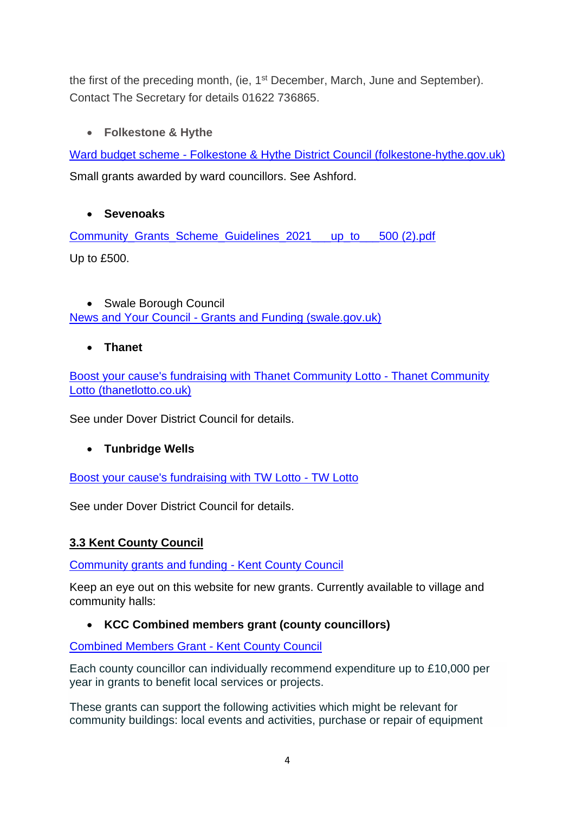the first of the preceding month, (ie, 1<sup>st</sup> December, March, June and September). Contact The Secretary for details 01622 736865.

## • **Folkestone & Hythe**

Ward budget scheme - [Folkestone & Hythe District Council \(folkestone-hythe.gov.uk\)](https://www.folkestone-hythe.gov.uk/community/community-funding/ward-budget) Small grants awarded by ward councillors. See Ashford.

## • **Sevenoaks**

[Community\\_Grants\\_Scheme\\_Guidelines\\_2021\\_\\_\\_up\\_to\\_\\_\\_500 \(2\).pdf](file:///C:/Users/angelam/Downloads/Community_Grants_Scheme_Guidelines_2021___up_to___500%20(2).pdf) Up to £500.

• Swale Borough Council News and Your Council - [Grants and Funding \(swale.gov.uk\)](https://swale.gov.uk/news-and-your-council/grants-and-funding)

• **Thanet**

[Boost your cause's fundraising with Thanet Community Lotto -](https://www.thanetlotto.co.uk/good-causes) Thanet Community [Lotto \(thanetlotto.co.uk\)](https://www.thanetlotto.co.uk/good-causes)

See under Dover District Council for details.

## • **Tunbridge Wells**

[Boost your cause's fundraising with TW Lotto -](https://www.twlotto.co.uk/good-causes) TW Lotto

See under Dover District Council for details.

## **3.3 Kent County Council**

[Community grants and funding -](https://www.kent.gov.uk/leisure-and-community/community-grants-and-funding) Kent County Council

Keep an eye out on this website for new grants. Currently available to village and community halls:

## • **KCC Combined members grant (county councillors)**

[Combined Members Grant -](https://www.kent.gov.uk/leisure-and-community/community-grants-and-funding/combined-members-grant#null) Kent County Council

Each county councillor can individually recommend expenditure up to £10,000 per year in grants to benefit local services or projects.

These grants can support the following activities which might be relevant for community buildings: local events and activities, purchase or repair of equipment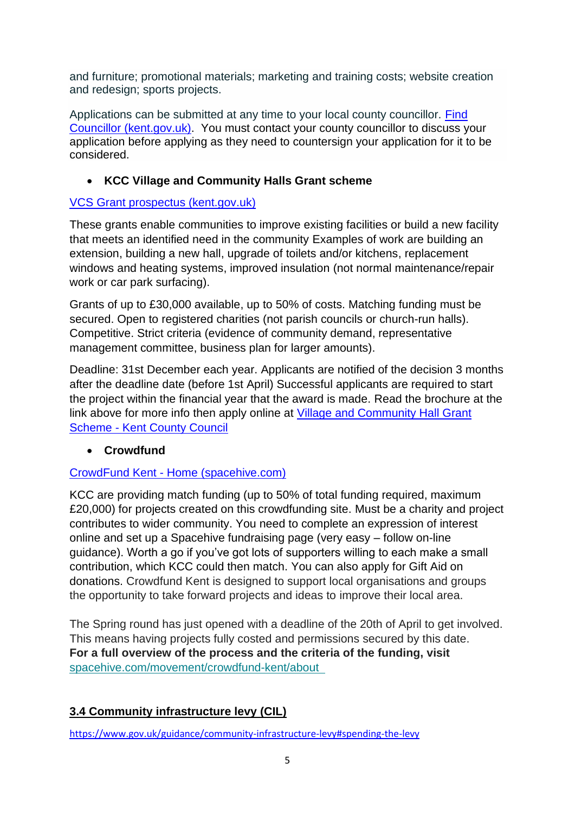and furniture; promotional materials; marketing and training costs; website creation and redesign; sports projects.

Applications can be submitted at any time to your local county councillor. [Find](https://democracy.kent.gov.uk/mgFindMember.aspx)  [Councillor \(kent.gov.uk\).](https://democracy.kent.gov.uk/mgFindMember.aspx) You must contact your county councillor to discuss your application before applying as they need to countersign your application for it to be considered.

## • **KCC Village and Community Halls Grant scheme**

## [VCS Grant prospectus \(kent.gov.uk\)](https://www.kent.gov.uk/__data/assets/pdf_file/0010/58438/VCS-Grant-prospectus.pdf)

These grants enable communities to improve existing facilities or build a new facility that meets an identified need in the community Examples of work are building an extension, building a new hall, upgrade of toilets and/or kitchens, replacement windows and heating systems, improved insulation (not normal maintenance/repair work or car park surfacing).

Grants of up to £30,000 available, up to 50% of costs. Matching funding must be secured. Open to registered charities (not parish councils or church-run halls). Competitive. Strict criteria (evidence of community demand, representative management committee, business plan for larger amounts).

Deadline: 31st December each year. Applicants are notified of the decision 3 months after the deadline date (before 1st April) Successful applicants are required to start the project within the financial year that the award is made. Read the brochure at the link above for more info then apply online at [Village and Community Hall Grant](https://www.kent.gov.uk/leisure-and-community/community-grants-and-funding/village-and-community-hall-grant-scheme)  Scheme - [Kent County Council](https://www.kent.gov.uk/leisure-and-community/community-grants-and-funding/village-and-community-hall-grant-scheme)

## • **Crowdfund**

## CrowdFund Kent - [Home \(spacehive.com\)](https://www.spacehive.com/movement/crowdfund-kent/)

KCC are providing match funding (up to 50% of total funding required, maximum £20,000) for projects created on this crowdfunding site. Must be a charity and project contributes to wider community. You need to complete an expression of interest online and set up a Spacehive fundraising page (very easy – follow on-line guidance). Worth a go if you've got lots of supporters willing to each make a small contribution, which KCC could then match. You can also apply for Gift Aid on donations. Crowdfund Kent is designed to support local organisations and groups the opportunity to take forward projects and ideas to improve their local area.

The Spring round has just opened with a deadline of the 20th of April to get involved. This means having projects fully costed and permissions secured by this date. **For a full overview of the process and the criteria of the funding, visit** [spacehive.com/movement/crowdfund-kent/about](https://canterbury.us5.list-manage.com/track/click?u=ce1fea5ec56affbbfcca3a9d5&id=55cc545a74&e=c22477a803) 

# **3.4 Community infrastructure levy (CIL)**

<https://www.gov.uk/guidance/community-infrastructure-levy#spending-the-levy>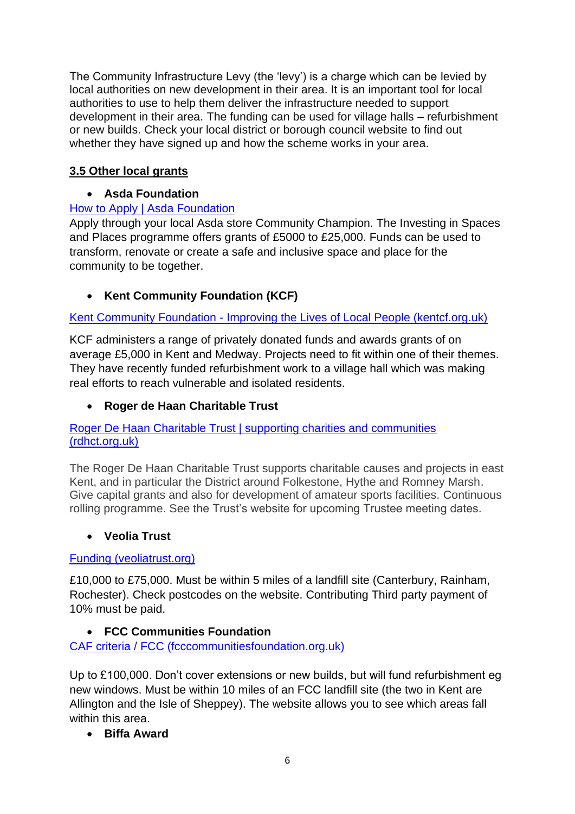The Community Infrastructure Levy (the 'levy') is a charge which can be levied by local authorities on new development in their area. It is an important tool for local authorities to use to help them deliver the infrastructure needed to support development in their area. The funding can be used for village halls – refurbishment or new builds. Check your local district or borough council website to find out whether they have signed up and how the scheme works in your area.

## **3.5 Other local grants**

## • **Asda Foundation**

## [How to Apply | Asda Foundation](http://www.asdafoundation.org/how-to-apply)

Apply through your local Asda store Community Champion. The Investing in Spaces and Places programme offers grants of £5000 to £25,000. Funds can be used to transform, renovate or create a safe and inclusive space and place for the community to be together.

## • **Kent Community Foundation (KCF)**

## Kent Community Foundation - [Improving the Lives of Local People \(kentcf.org.uk\)](https://kentcf.org.uk/)

KCF administers a range of privately donated funds and awards grants of on average £5,000 in Kent and Medway. Projects need to fit within one of their themes. They have recently funded refurbishment work to a village hall which was making real efforts to reach vulnerable and isolated residents.

## • **Roger de Haan Charitable Trust**

#### [Roger De Haan Charitable Trust | supporting charities and communities](https://rdhct.org.uk/)  [\(rdhct.org.uk\)](https://rdhct.org.uk/)

The Roger De Haan Charitable Trust supports charitable causes and projects in east Kent, and in particular the District around Folkestone, Hythe and Romney Marsh. Give capital grants and also for development of amateur sports facilities. Continuous rolling programme. See the Trust's website for upcoming Trustee meeting dates.

## • **Veolia Trust**

## [Funding \(veoliatrust.org\)](https://www.veoliatrust.org/funding/)

£10,000 to £75,000. Must be within 5 miles of a landfill site (Canterbury, Rainham, Rochester). Check postcodes on the website. Contributing Third party payment of 10% must be paid.

## • **FCC Communities Foundation**

[CAF criteria / FCC \(fcccommunitiesfoundation.org.uk\)](https://fcccommunitiesfoundation.org.uk/apply/caf)

Up to £100,000. Don't cover extensions or new builds, but will fund refurbishment eg new windows. Must be within 10 miles of an FCC landfill site (the two in Kent are Allington and the Isle of Sheppey). The website allows you to see which areas fall within this area.

• **Biffa Award**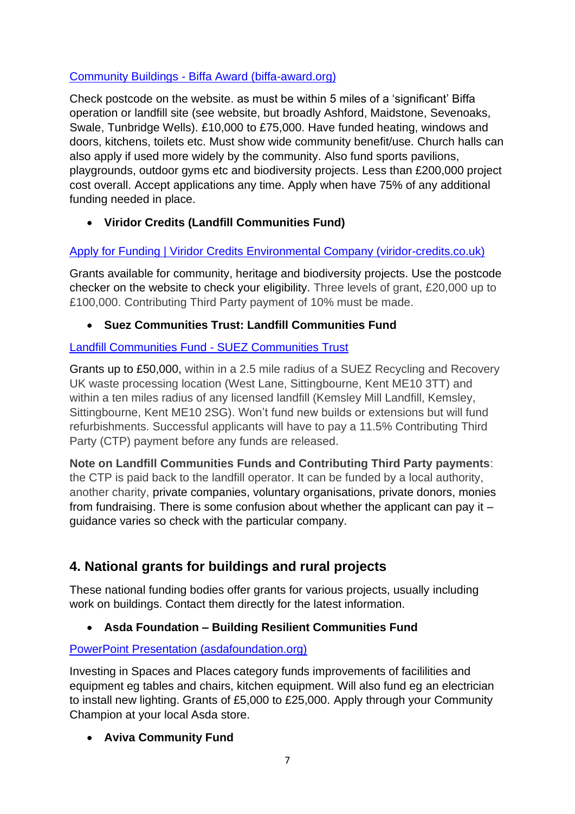#### Community Buildings - [Biffa Award \(biffa-award.org\)](https://www.biffa-award.org/community-buildings/)

Check postcode on the website. as must be within 5 miles of a 'significant' Biffa operation or landfill site (see website, but broadly Ashford, Maidstone, Sevenoaks, Swale, Tunbridge Wells). £10,000 to £75,000. Have funded heating, windows and doors, kitchens, toilets etc. Must show wide community benefit/use. Church halls can also apply if used more widely by the community. Also fund sports pavilions, playgrounds, outdoor gyms etc and biodiversity projects. Less than £200,000 project cost overall. Accept applications any time. Apply when have 75% of any additional funding needed in place.

## • **Viridor Credits (Landfill Communities Fund)**

#### [Apply for Funding | Viridor Credits Environmental Company \(viridor-credits.co.uk\)](https://www.viridor-credits.co.uk/apply-funding)

Grants available for community, heritage and biodiversity projects. Use the postcode checker on the website to check your eligibility. Three levels of grant, £20,000 up to £100,000. Contributing Third Party payment of 10% must be made.

#### • **Suez Communities Trust: Landfill Communities Fund**

#### [Landfill Communities Fund -](https://www.suezcommunitiestrust.org.uk/apply-for-funding/england/) SUEZ Communities Trust

Grants up to £50,000, within in a 2.5 mile radius of a SUEZ Recycling and Recovery UK waste processing location (West Lane, Sittingbourne, Kent ME10 3TT) and within a ten miles radius of any licensed landfill (Kemsley Mill Landfill, Kemsley, Sittingbourne, Kent ME10 2SG). Won't fund new builds or extensions but will fund refurbishments. Successful applicants will have to pay a 11.5% Contributing Third Party (CTP) payment before any funds are released.

**Note on Landfill Communities Funds and Contributing Third Party payments**: the CTP is paid back to the landfill operator. It can be funded by a local authority, another charity, private companies, voluntary organisations, private donors, monies from fundraising. There is some confusion about whether the applicant can pay it – guidance varies so check with the particular company.

# **4. National grants for buildings and rural projects**

These national funding bodies offer grants for various projects, usually including work on buildings. Contact them directly for the latest information.

## • **Asda Foundation – Building Resilient Communities Fund**

#### [PowerPoint Presentation \(asdafoundation.org\)](https://www.asdafoundation.org/documents/Empowering_Local_Communities_Grant_Group_Guidance.pdf)

Investing in Spaces and Places category funds improvements of facililities and equipment eg tables and chairs, kitchen equipment. Will also fund eg an electrician to install new lighting. Grants of £5,000 to £25,000. Apply through your Community Champion at your local Asda store.

## • **Aviva Community Fund**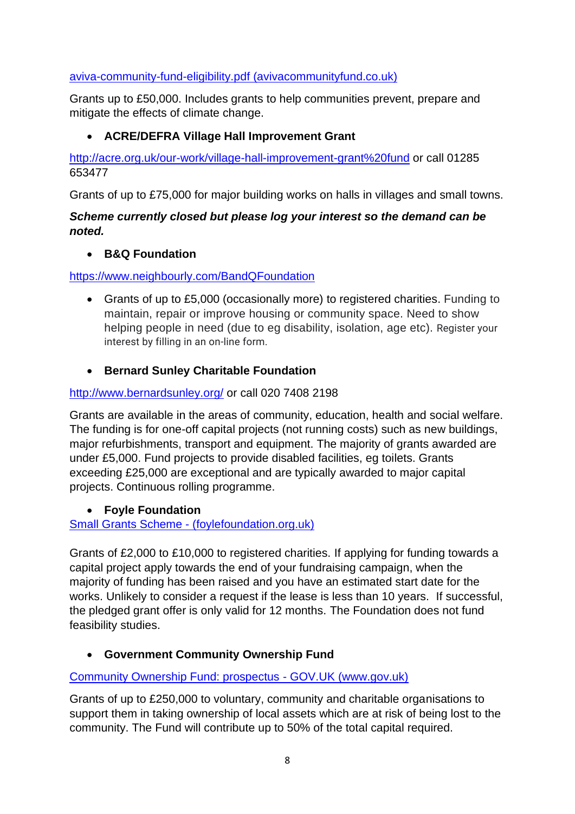#### [aviva-community-fund-eligibility.pdf \(avivacommunityfund.co.uk\)](https://www.avivacommunityfund.co.uk/uploads/terms/aviva-community-fund-eligibility.pdf)

Grants up to £50,000. Includes grants to help communities prevent, prepare and mitigate the effects of climate change.

#### • **ACRE/DEFRA Village Hall Improvement Grant**

<http://acre.org.uk/our-work/village-hall-improvement-grant%20fund> or call 01285 653477

Grants of up to £75,000 for major building works on halls in villages and small towns.

#### *Scheme currently closed but please log your interest so the demand can be noted.*

#### • **B&Q Foundation**

<https://www.neighbourly.com/BandQFoundation>

• Grants of up to £5,000 (occasionally more) to registered charities. Funding to maintain, repair or improve housing or community space. Need to show helping people in need (due to eg disability, isolation, age etc). Register your interest by filling in an on-line form.

## • **Bernard Sunley Charitable Foundation**

## <http://www.bernardsunley.org/> or call 020 7408 2198

Grants are available in the areas of community, education, health and social welfare. The funding is for one-off capital projects (not running costs) such as new buildings, major refurbishments, transport and equipment. The majority of grants awarded are under £5,000. Fund projects to provide disabled facilities, eg toilets. Grants exceeding £25,000 are exceptional and are typically awarded to major capital projects. Continuous rolling programme.

#### • **Foyle Foundation**

Small Grants Scheme - [\(foylefoundation.org.uk\)](http://www.foylefoundation.org.uk/small-grants-scheme/)

Grants of £2,000 to £10,000 to registered charities. If applying for funding towards a capital project apply towards the end of your fundraising campaign, when the majority of funding has been raised and you have an estimated start date for the works. Unlikely to consider a request if the lease is less than 10 years. If successful, the pledged grant offer is only valid for 12 months. The Foundation does not fund feasibility studies.

## • **Government Community Ownership Fund**

## [Community Ownership Fund: prospectus -](https://www.gov.uk/government/publications/community-ownership-fund-prospectus/community-ownership-fund-prospectus) GOV.UK (www.gov.uk)

Grants of up to £250,000 to voluntary, community and charitable organisations to support them in taking ownership of local assets which are at risk of being lost to the community. The Fund will contribute up to 50% of the total capital required.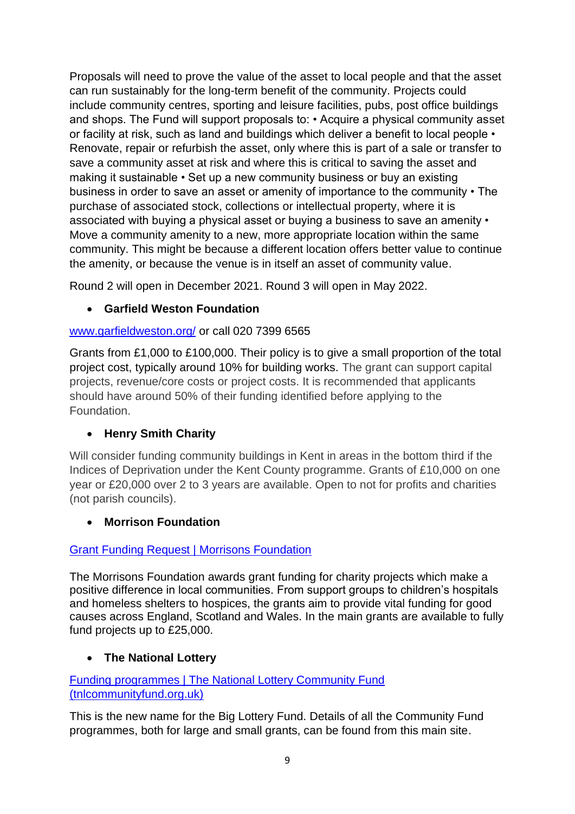Proposals will need to prove the value of the asset to local people and that the asset can run sustainably for the long-term benefit of the community. Projects could include community centres, sporting and leisure facilities, pubs, post office buildings and shops. The Fund will support proposals to: • Acquire a physical community asset or facility at risk, such as land and buildings which deliver a benefit to local people • Renovate, repair or refurbish the asset, only where this is part of a sale or transfer to save a community asset at risk and where this is critical to saving the asset and making it sustainable • Set up a new community business or buy an existing business in order to save an asset or amenity of importance to the community • The purchase of associated stock, collections or intellectual property, where it is associated with buying a physical asset or buying a business to save an amenity • Move a community amenity to a new, more appropriate location within the same community. This might be because a different location offers better value to continue the amenity, or because the venue is in itself an asset of community value.

Round 2 will open in December 2021. Round 3 will open in May 2022.

## • **Garfield Weston Foundation**

## [www.garfieldweston.org/](file://///krcc-dc01.krcc.local/home/Kent%20RCC/Community%20Halls/Funding/Funding%20info%20for%20VHs%202021/www.garfieldweston.org/) or call 020 7399 6565

Grants from £1,000 to £100,000. Their policy is to give a small proportion of the total project cost, typically around 10% for building works. The grant can support capital projects, revenue/core costs or project costs. It is recommended that applicants should have around 50% of their funding identified before applying to the Foundation.

## • **Henry Smith Charity**

Will consider funding community buildings in Kent in areas in the bottom third if the Indices of Deprivation under the Kent County programme. Grants of £10,000 on one year or £20,000 over 2 to 3 years are available. Open to not for profits and charities (not parish councils).

## • **Morrison Foundation**

#### [Grant Funding Request | Morrisons Foundation](https://www.morrisonsfoundation.com/grant-funding-request/)

The Morrisons Foundation awards grant funding for charity projects which make a positive difference in local communities. From support groups to children's hospitals and homeless shelters to hospices, the grants aim to provide vital funding for good causes across England, Scotland and Wales. In the main grants are available to fully fund projects up to £25,000.

## • **The National Lottery**

[Funding programmes | The National Lottery Community Fund](https://www.tnlcommunityfund.org.uk/funding/programmes)  [\(tnlcommunityfund.org.uk\)](https://www.tnlcommunityfund.org.uk/funding/programmes)

This is the new name for the Big Lottery Fund. Details of all the Community Fund programmes, both for large and small grants, can be found from this main site.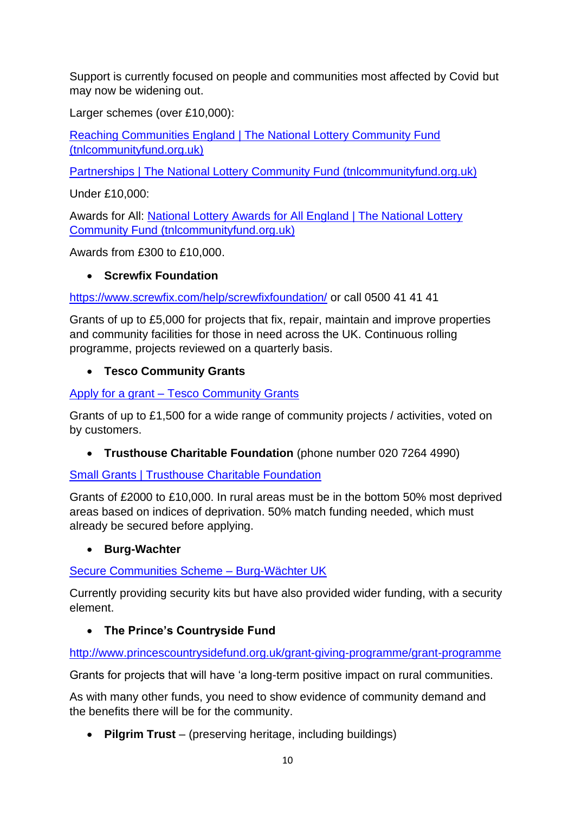Support is currently focused on people and communities most affected by Covid but may now be widening out.

Larger schemes (over £10,000):

[Reaching Communities England | The National Lottery Community Fund](https://www.tnlcommunityfund.org.uk/funding/programmes/reaching-communities-england)  [\(tnlcommunityfund.org.uk\)](https://www.tnlcommunityfund.org.uk/funding/programmes/reaching-communities-england)

[Partnerships | The National Lottery Community Fund \(tnlcommunityfund.org.uk\)](https://www.tnlcommunityfund.org.uk/funding/programmes/partnerships-england)

Under £10,000:

Awards for All: [National Lottery Awards for All England | The National Lottery](https://www.tnlcommunityfund.org.uk/funding/programmes/national-lottery-awards-for-all-england)  [Community Fund \(tnlcommunityfund.org.uk\)](https://www.tnlcommunityfund.org.uk/funding/programmes/national-lottery-awards-for-all-england)

Awards from £300 to £10,000.

## • **Screwfix Foundation**

<https://www.screwfix.com/help/screwfixfoundation/> or call 0500 41 41 41

Grants of up to £5,000 for projects that fix, repair, maintain and improve properties and community facilities for those in need across the UK. Continuous rolling programme, projects reviewed on a quarterly basis.

## • **Tesco Community Grants**

Apply for a grant – [Tesco Community Grants](https://tescocommunitygrants.org.uk/apply-for-a-grant/)

Grants of up to £1,500 for a wide range of community projects / activities, voted on by customers.

• **Trusthouse Charitable Foundation** (phone number 020 7264 4990)

[Small Grants | Trusthouse Charitable Foundation](https://www.trusthousecharitablefoundation.org.uk/our-grants/small-grants)

Grants of £2000 to £10,000. In rural areas must be in the bottom 50% most deprived areas based on indices of deprivation. 50% match funding needed, which must already be secured before applying.

## • **Burg-Wachter**

[Secure Communities Scheme –](https://www.burg.biz/uk/community/) Burg-Wächter UK

Currently providing security kits but have also provided wider funding, with a security element.

## • **The Prince's Countryside Fund**

<http://www.princescountrysidefund.org.uk/grant-giving-programme/grant-programme>

Grants for projects that will have 'a long-term positive impact on rural communities.

As with many other funds, you need to show evidence of community demand and the benefits there will be for the community.

• **Pilgrim Trust** – (preserving heritage, including buildings)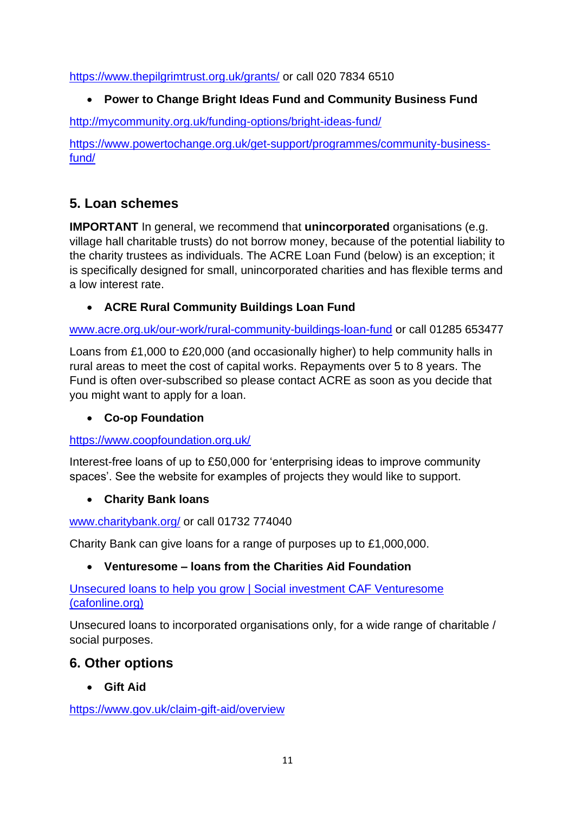<https://www.thepilgrimtrust.org.uk/grants/> or call 020 7834 6510

## • **Power to Change Bright Ideas Fund and Community Business Fund**

<http://mycommunity.org.uk/funding-options/bright-ideas-fund/>

[https://www.powertochange.org.uk/get-support/programmes/community-business](https://www.powertochange.org.uk/get-support/programmes/community-business-fund/)[fund/](https://www.powertochange.org.uk/get-support/programmes/community-business-fund/)

# **5. Loan schemes**

**IMPORTANT** In general, we recommend that **unincorporated** organisations (e.g. village hall charitable trusts) do not borrow money, because of the potential liability to the charity trustees as individuals. The ACRE Loan Fund (below) is an exception; it is specifically designed for small, unincorporated charities and has flexible terms and a low interest rate.

• **ACRE Rural Community Buildings Loan Fund**

[www.acre.org.uk/our-work/rural-community-buildings-loan-fund](file://///krcc-dc01.krcc.local/home/Kent%20RCC/Community%20Halls/Funding/Funding%20info%20for%20VHs%202021/www.acre.org.uk/our-work/rural-community-buildings-loan-fund) or call 01285 653477

Loans from £1,000 to £20,000 (and occasionally higher) to help community halls in rural areas to meet the cost of capital works. Repayments over 5 to 8 years. The Fund is often over-subscribed so please contact ACRE as soon as you decide that you might want to apply for a loan.

## • **Co-op Foundation**

<https://www.coopfoundation.org.uk/>

Interest-free loans of up to £50,000 for 'enterprising ideas to improve community spaces'. See the website for examples of projects they would like to support.

## • **Charity Bank loans**

## [www.charitybank.org/](file://///krcc-dc01.krcc.local/home/Kent%20RCC/Community%20Halls/Funding/Funding%20info%20for%20VHs%202021/www.charitybank.org/) or call 01732 774040

Charity Bank can give loans for a range of purposes up to £1,000,000.

## • **Venturesome – loans from the Charities Aid Foundation**

[Unsecured loans to help you grow | Social investment CAF Venturesome](https://www.cafonline.org/charities/borrowing/social-investment/development-fund)  [\(cafonline.org\)](https://www.cafonline.org/charities/borrowing/social-investment/development-fund)

Unsecured loans to incorporated organisations only, for a wide range of charitable / social purposes.

## **6. Other options**

## • **Gift Aid**

<https://www.gov.uk/claim-gift-aid/overview>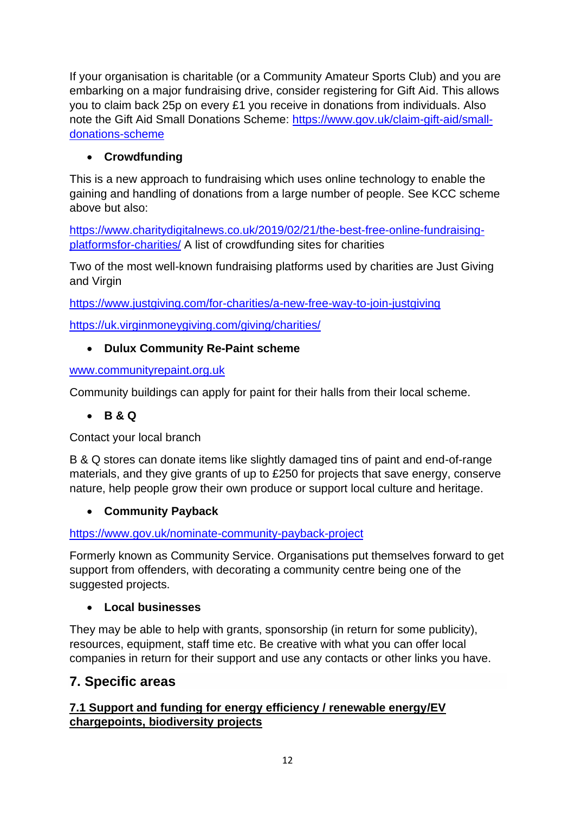If your organisation is charitable (or a Community Amateur Sports Club) and you are embarking on a major fundraising drive, consider registering for Gift Aid. This allows you to claim back 25p on every £1 you receive in donations from individuals. Also note the Gift Aid Small Donations Scheme: [https://www.gov.uk/claim-gift-aid/small](https://www.gov.uk/claim-gift-aid/small-donations-scheme)[donations-scheme](https://www.gov.uk/claim-gift-aid/small-donations-scheme)

## • **Crowdfunding**

This is a new approach to fundraising which uses online technology to enable the gaining and handling of donations from a large number of people. See KCC scheme above but also:

[https://www.charitydigitalnews.co.uk/2019/02/21/the-best-free-online-fundraising](https://www.charitydigitalnews.co.uk/2019/02/21/the-best-free-online-fundraising-platformsfor-charities/)[platformsfor-charities/](https://www.charitydigitalnews.co.uk/2019/02/21/the-best-free-online-fundraising-platformsfor-charities/) A list of crowdfunding sites for charities

Two of the most well-known fundraising platforms used by charities are Just Giving and Virgin

<https://www.justgiving.com/for-charities/a-new-free-way-to-join-justgiving>

<https://uk.virginmoneygiving.com/giving/charities/>

## • **Dulux Community Re-Paint scheme**

[www.communityrepaint.org.uk](file://///krcc-dc01.krcc.local/home/Kent%20RCC/Community%20Halls/Funding/Funding%20info%20for%20VHs%202021/www.communityrepaint.org.uk)

Community buildings can apply for paint for their halls from their local scheme.

## • **B & Q**

Contact your local branch

B & Q stores can donate items like slightly damaged tins of paint and end-of-range materials, and they give grants of up to £250 for projects that save energy, conserve nature, help people grow their own produce or support local culture and heritage.

## • **Community Payback**

<https://www.gov.uk/nominate-community-payback-project>

Formerly known as Community Service. Organisations put themselves forward to get support from offenders, with decorating a community centre being one of the suggested projects.

## • **Local businesses**

They may be able to help with grants, sponsorship (in return for some publicity), resources, equipment, staff time etc. Be creative with what you can offer local companies in return for their support and use any contacts or other links you have.

# **7. Specific areas**

## **7.1 Support and funding for energy efficiency / renewable energy/EV chargepoints, biodiversity projects**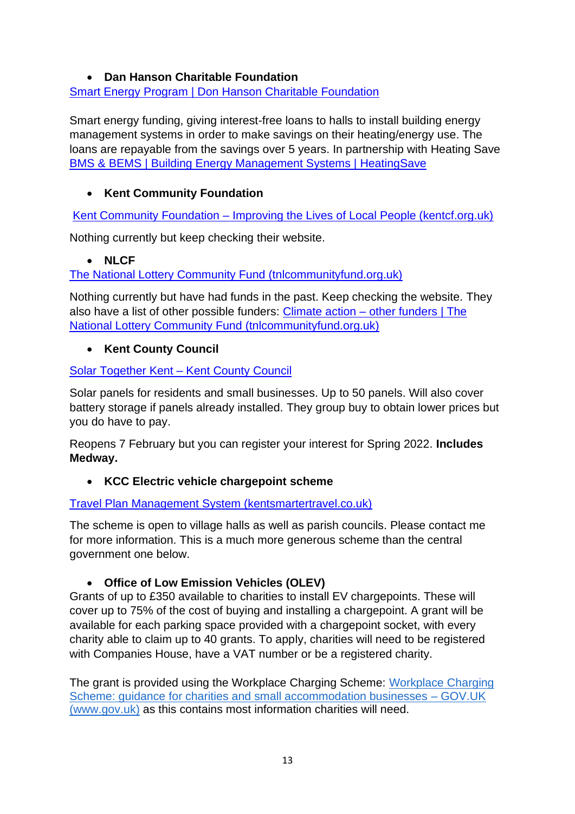#### • **Dan Hanson Charitable Foundation**

#### [Smart Energy Program | Don Hanson Charitable Foundation](http://www.donhansoncharitablefoundation.org/smart-energy-program/)

Smart energy funding, giving interest-free loans to halls to install building energy management systems in order to make savings on their heating/energy use. The loans are repayable from the savings over 5 years. In partnership with Heating Save [BMS & BEMS | Building Energy Management Systems | HeatingSave](https://www.heatingsave.co.uk/)

## • **Kent Community Foundation**

Kent Community Foundation – [Improving the Lives of Local People \(kentcf.org.uk\)](https://kentcf.org.uk/)

Nothing currently but keep checking their website.

## • **NLCF**

[The National Lottery Community Fund \(tnlcommunityfund.org.uk\)](https://www.tnlcommunityfund.org.uk/funding/programmes/together-for-our-planet#section-2)

Nothing currently but have had funds in the past. Keep checking the website. They also have a list of other possible funders: Climate action – [other funders | The](https://www.tnlcommunityfund.org.uk/funding/programmes/climate-action-fund-round-2/climate-action-other-funders)  [National Lottery Community Fund \(tnlcommunityfund.org.uk\)](https://www.tnlcommunityfund.org.uk/funding/programmes/climate-action-fund-round-2/climate-action-other-funders)

## • **Kent County Council**

## [Solar Together Kent –](https://www.kent.gov.uk/environment-waste-and-planning/climate-change/reducing-emissions/household-energy/solar-together-kent) Kent County Council

Solar panels for residents and small businesses. Up to 50 panels. Will also cover battery storage if panels already installed. They group buy to obtain lower prices but you do have to pay.

Reopens 7 February but you can register your interest for Spring 2022. **Includes Medway.**

## • **KCC Electric vehicle chargepoint scheme**

## [Travel Plan Management System \(kentsmartertravel.co.uk\)](https://parish.kentsmartertravel.co.uk/x.jsp?ano=1)

The scheme is open to village halls as well as parish councils. Please contact me for more information. This is a much more generous scheme than the central government one below.

## • **Office of Low Emission Vehicles (OLEV)**

Grants of up to £350 available to charities to install EV chargepoints. These will cover up to 75% of the cost of buying and installing a chargepoint. A grant will be available for each parking space provided with a chargepoint socket, with every charity able to claim up to 40 grants. To apply, charities will need to be registered with Companies House, have a VAT number or be a registered charity.

The grant is provided using the Workplace Charging Scheme: [Workplace Charging](https://www.gov.uk/guidance/workplace-charging-scheme-guidance-for-charities-and-small-accommodation-businesses)  [Scheme: guidance for charities and small accommodation businesses –](https://www.gov.uk/guidance/workplace-charging-scheme-guidance-for-charities-and-small-accommodation-businesses) GOV.UK [\(www.gov.uk\)](https://www.gov.uk/guidance/workplace-charging-scheme-guidance-for-charities-and-small-accommodation-businesses) as this contains most information charities will need.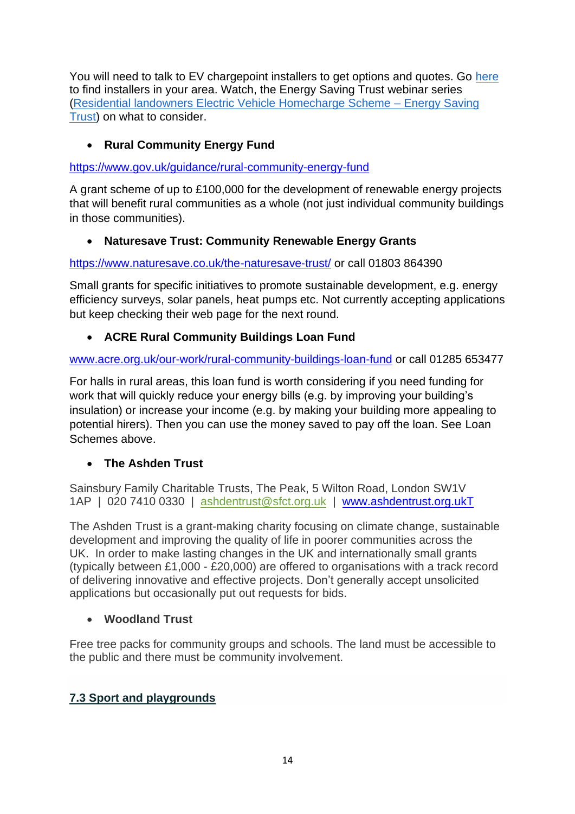You will need to talk to EV chargepoint installers to get options and quotes. Go [here](https://www.gov.uk/government/publications/workplace-charging-scheme-authorised-installers) to find installers in your area. Watch, the Energy Saving Trust webinar series [\(Residential landowners Electric Vehicle Homecharge Scheme –](https://urldefense.com/v3/__https:/energysavingtrust.org.uk/grants-and-loans/residential-landowners-electric-vehicle-homecharge-scheme/__;!!HEBAkwG3r5RD!oy1rtVrAdOAC9BQW8B3_U0ZU50cl6dMT8huYfYA7BtmDnfl8v3OLKcsZpcR-FVwlcOyWy-Ky%24) Energy Saving [Trust\)](https://urldefense.com/v3/__https:/energysavingtrust.org.uk/grants-and-loans/residential-landowners-electric-vehicle-homecharge-scheme/__;!!HEBAkwG3r5RD!oy1rtVrAdOAC9BQW8B3_U0ZU50cl6dMT8huYfYA7BtmDnfl8v3OLKcsZpcR-FVwlcOyWy-Ky%24) on what to consider.

## • **Rural Community Energy Fund**

<https://www.gov.uk/guidance/rural-community-energy-fund>

A grant scheme of up to £100,000 for the development of renewable energy projects that will benefit rural communities as a whole (not just individual community buildings in those communities).

#### • **Naturesave Trust: Community Renewable Energy Grants**

<https://www.naturesave.co.uk/the-naturesave-trust/> or call 01803 864390

Small grants for specific initiatives to promote sustainable development, e.g. energy efficiency surveys, solar panels, heat pumps etc. Not currently accepting applications but keep checking their web page for the next round.

#### • **ACRE Rural Community Buildings Loan Fund**

[www.acre.org.uk/our-work/rural-community-buildings-loan-fund](file://///krcc-dc01.krcc.local/home/Kent%20RCC/Community%20Halls/Funding/Funding%20info%20for%20VHs%202021/www.acre.org.uk/our-work/rural-community-buildings-loan-fund) or call 01285 653477

For halls in rural areas, this loan fund is worth considering if you need funding for work that will quickly reduce your energy bills (e.g. by improving your building's insulation) or increase your income (e.g. by making your building more appealing to potential hirers). Then you can use the money saved to pay off the loan. See Loan Schemes above.

#### • **The Ashden Trust**

Sainsbury Family Charitable Trusts, The Peak, 5 Wilton Road, London SW1V 1AP | 020 7410 0330 | [ashdentrust@sfct.org.uk](mailto:ashdentrust@sfct.org.uk) | [www.ashdentrust.org.ukT](http://www.ashdentrust.org.ukt/)

The Ashden Trust is a grant-making charity focusing on climate change, sustainable development and improving the quality of life in poorer communities across the UK. In order to make lasting changes in the UK and internationally small grants (typically between £1,000 - £20,000) are offered to organisations with a track record of delivering innovative and effective projects. Don't generally accept unsolicited applications but occasionally put out requests for bids.

#### • **Woodland Trust**

Free tree packs for community groups and schools. The land must be accessible to the public and there must be community involvement.

## **7.3 Sport and playgrounds**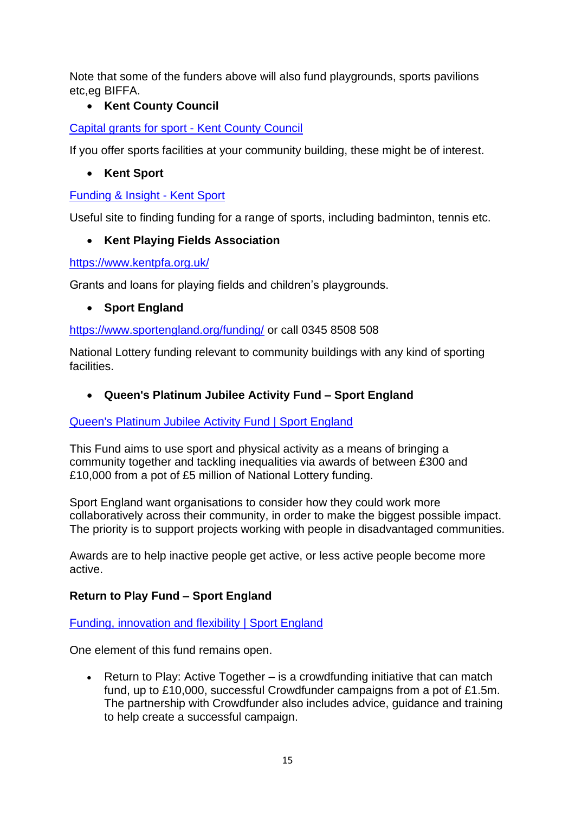Note that some of the funders above will also fund playgrounds, sports pavilions etc,eg BIFFA.

## • **Kent County Council**

[Capital grants for sport -](https://www.kent.gov.uk/leisure-and-community/community-grants-and-funding/capital-grants-for-sport#tab-1) Kent County Council

If you offer sports facilities at your community building, these might be of interest.

#### • **Kent Sport**

#### [Funding & Insight -](https://kentsport.org/make-sport-happen/funding-insight/) Kent Sport

Useful site to finding funding for a range of sports, including badminton, tennis etc.

#### • **Kent Playing Fields Association**

<https://www.kentpfa.org.uk/>

Grants and loans for playing fields and children's playgrounds.

• **Sport England**

<https://www.sportengland.org/funding/> or call 0345 8508 508

National Lottery funding relevant to community buildings with any kind of sporting facilities.

• **Queen's Platinum Jubilee Activity Fund – Sport England**

#### [Queen's Platinum Jubilee Activity Fund | Sport England](https://www.sportengland.org/how-we-can-help/our-funds/queens-platinum-jubilee-activity-fund)

This Fund aims to use sport and physical activity as a means of bringing a community together and tackling inequalities via awards of between £300 and £10,000 from a pot of £5 million of National Lottery funding.

Sport England want organisations to consider how they could work more collaboratively across their community, in order to make the biggest possible impact. The priority is to support projects working with people in disadvantaged communities.

Awards are to help inactive people get active, or less active people become more active.

## **Return to Play Fund – Sport England**

#### [Funding, innovation and flexibility | Sport England](https://www.sportengland.org/how-we-can-help/coronavirus/funding-innovation-and-flexibility)

One element of this fund remains open.

• Return to Play: Active Together – is a crowdfunding initiative that can match fund, up to £10,000, successful Crowdfunder campaigns from a pot of £1.5m. The partnership with Crowdfunder also includes advice, guidance and training to help create a successful campaign.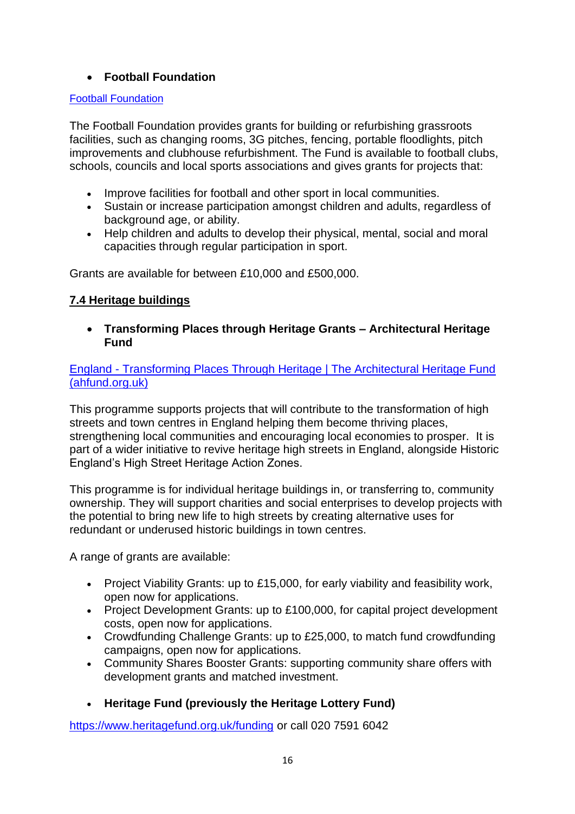#### • **Football Foundation**

#### [Football Foundation](https://footballfoundation.org.uk/)

The Football Foundation provides grants for building or refurbishing grassroots facilities, such as changing rooms, 3G pitches, fencing, portable floodlights, pitch improvements and clubhouse refurbishment. The Fund is available to football clubs, schools, councils and local sports associations and gives grants for projects that:

- Improve facilities for football and other sport in local communities.
- Sustain or increase participation amongst children and adults, regardless of background age, or ability.
- Help children and adults to develop their physical, mental, social and moral capacities through regular participation in sport.

Grants are available for between £10,000 and £500,000.

#### **7.4 Heritage buildings**

• **Transforming Places through Heritage Grants – Architectural Heritage Fund**

England - [Transforming Places Through Heritage | The Architectural Heritage Fund](https://ahfund.org.uk/grants/england/)  [\(ahfund.org.uk\)](https://ahfund.org.uk/grants/england/)

This programme supports projects that will contribute to the transformation of high streets and town centres in England helping them become thriving places, strengthening local communities and encouraging local economies to prosper. It is part of a wider initiative to revive heritage high streets in England, alongside Historic England's High Street Heritage Action Zones.

This programme is for individual heritage buildings in, or transferring to, community ownership. They will support charities and social enterprises to develop projects with the potential to bring new life to high streets by creating alternative uses for redundant or underused historic buildings in town centres.

A range of grants are available:

- Project Viability Grants: up to £15,000, for early viability and feasibility work, open now for applications.
- Project Development Grants: up to £100,000, for capital project development costs, open now for applications.
- Crowdfunding Challenge Grants: up to £25,000, to match fund crowdfunding campaigns, open now for applications.
- Community Shares Booster Grants: supporting community share offers with development grants and matched investment.
- **Heritage Fund (previously the Heritage Lottery Fund)**

<https://www.heritagefund.org.uk/funding> or call 020 7591 6042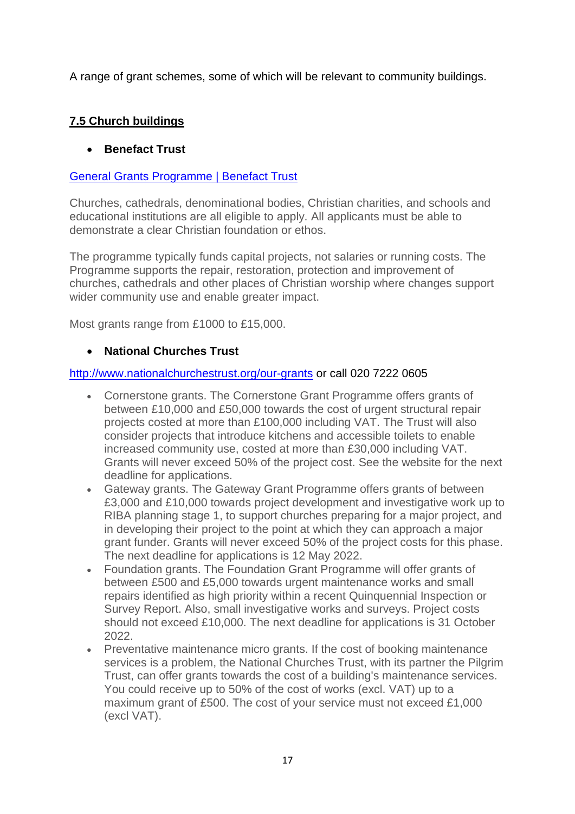A range of grant schemes, some of which will be relevant to community buildings.

## **7.5 Church buildings**

## • **Benefact Trust**

#### [General Grants Programme | Benefact Trust](https://benefacttrust.co.uk/which-grant-is-for-me/general-grants/)

Churches, cathedrals, denominational bodies, Christian charities, and schools and educational institutions are all eligible to apply. All applicants must be able to demonstrate a clear Christian foundation or ethos.

The programme typically funds capital projects, not salaries or running costs. The Programme supports the repair, restoration, protection and improvement of churches, cathedrals and other places of Christian worship where changes support wider community use and enable greater impact.

Most grants range from £1000 to £15,000.

#### • **National Churches Trust**

#### <http://www.nationalchurchestrust.org/our-grants> or call 020 7222 0605

- Cornerstone grants. The Cornerstone Grant Programme offers grants of between £10,000 and £50,000 towards the cost of urgent structural repair projects costed at more than £100,000 including VAT. The Trust will also consider projects that introduce kitchens and accessible toilets to enable increased community use, costed at more than £30,000 including VAT. Grants will never exceed 50% of the project cost. See the website for the next deadline for applications.
- Gateway grants. The Gateway Grant Programme offers grants of between £3,000 and £10,000 towards project development and investigative work up to RIBA planning stage 1, to support churches preparing for a major project, and in developing their project to the point at which they can approach a major grant funder. Grants will never exceed 50% of the project costs for this phase. The next deadline for applications is 12 May 2022.
- Foundation grants. The Foundation Grant Programme will offer grants of between £500 and £5,000 towards urgent maintenance works and small repairs identified as high priority within a recent Quinquennial Inspection or Survey Report. Also, small investigative works and surveys. Project costs should not exceed £10,000. The next deadline for applications is 31 October 2022.
- Preventative maintenance micro grants. If the cost of booking maintenance services is a problem, the National Churches Trust, with its partner the Pilgrim Trust, can offer grants towards the cost of a building's maintenance services. You could receive up to 50% of the cost of works (excl. VAT) up to a maximum grant of £500. The cost of your service must not exceed £1,000 (excl VAT).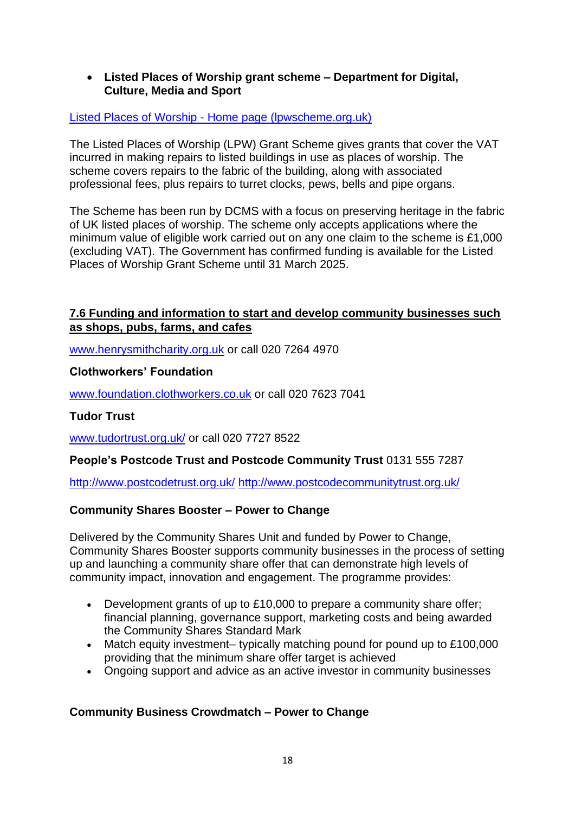#### • **Listed Places of Worship grant scheme – Department for Digital, Culture, Media and Sport**

#### Listed Places of Worship - [Home page \(lpwscheme.org.uk\)](https://www.lpwscheme.org.uk/)

The Listed Places of Worship (LPW) Grant Scheme gives grants that cover the VAT incurred in making repairs to listed buildings in use as places of worship. The scheme covers repairs to the fabric of the building, along with associated professional fees, plus repairs to turret clocks, pews, bells and pipe organs.

The Scheme has been run by DCMS with a focus on preserving heritage in the fabric of UK listed places of worship. The scheme only accepts applications where the minimum value of eligible work carried out on any one claim to the scheme is £1,000 (excluding VAT). The Government has confirmed funding is available for the Listed Places of Worship Grant Scheme until 31 March 2025.

#### **7.6 Funding and information to start and develop community businesses such as shops, pubs, farms, and cafes**

[www.henrysmithcharity.org.uk](file://///krcc-dc01.krcc.local/home/Kent%20RCC/Community%20Halls/Funding/Funding%20info%20for%20VHs%202021/www.henrysmithcharity.org.uk%20) or call 020 7264 4970

#### **Clothworkers' Foundation**

[www.foundation.clothworkers.co.uk](file://///krcc-dc01.krcc.local/home/Kent%20RCC/Community%20Halls/Funding/Funding%20info%20for%20VHs%202021/www.foundation.clothworkers.co.uk%20) or call 020 7623 7041

#### **Tudor Trust**

[www.tudortrust.org.uk/](file://///krcc-dc01.krcc.local/home/Kent%20RCC/Community%20Halls/Funding/Funding%20info%20for%20VHs%202021/www.tudortrust.org.uk/) or call 020 7727 8522

#### **People's Postcode Trust and Postcode Community Trust** 0131 555 7287

<http://www.postcodetrust.org.uk/> <http://www.postcodecommunitytrust.org.uk/>

#### **Community Shares Booster – Power to Change**

Delivered by the Community Shares Unit and funded by Power to Change, Community Shares Booster supports community businesses in the process of setting up and launching a community share offer that can demonstrate high levels of community impact, innovation and engagement. The programme provides:

- Development grants of up to £10,000 to prepare a community share offer; financial planning, governance support, marketing costs and being awarded the Community Shares Standard Mark
- Match equity investment– typically matching pound for pound up to £100,000 providing that the minimum share offer target is achieved
- Ongoing support and advice as an active investor in community businesses

#### **Community Business Crowdmatch – Power to Change**